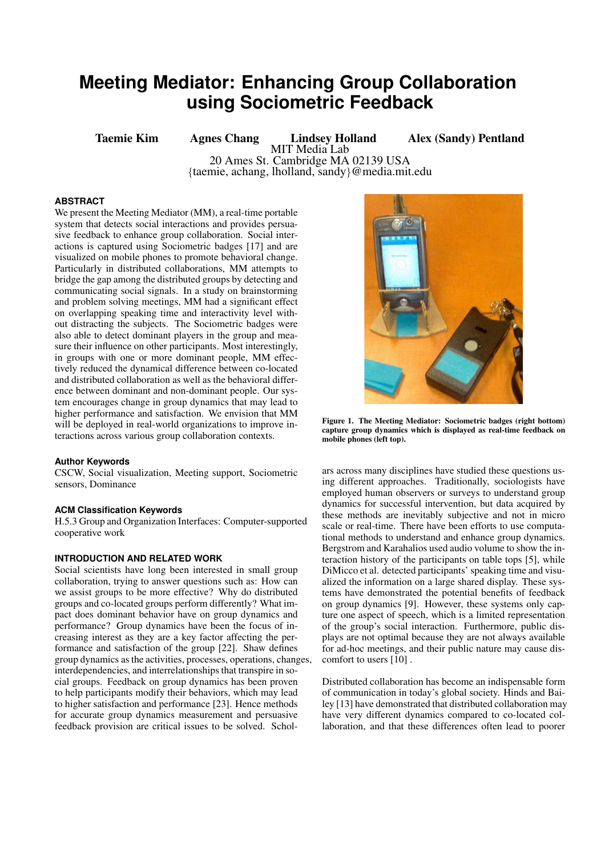# **Meeting Mediator: Enhancing Group Collaboration using Sociometric Feedback**

Taemie Kim Agnes Chang Lindsey Holland Alex (Sandy) Pentland MIT Media Lab 20 Ames St. Cambridge MA 02139 USA {taemie, achang, lholland, sandy}@media.mit.edu

## **ABSTRACT**

We present the Meeting Mediator (MM), a real-time portable system that detects social interactions and provides persuasive feedback to enhance group collaboration. Social interactions is captured using Sociometric badges [17] and are visualized on mobile phones to promote behavioral change. Particularly in distributed collaborations, MM attempts to bridge the gap among the distributed groups by detecting and communicating social signals. In a study on brainstorming and problem solving meetings, MM had a significant effect on overlapping speaking time and interactivity level without distracting the subjects. The Sociometric badges were also able to detect dominant players in the group and measure their influence on other participants. Most interestingly, in groups with one or more dominant people, MM effectively reduced the dynamical difference between co-located and distributed collaboration as well as the behavioral difference between dominant and non-dominant people. Our system encourages change in group dynamics that may lead to higher performance and satisfaction. We envision that MM will be deployed in real-world organizations to improve interactions across various group collaboration contexts.

#### **Author Keywords**

CSCW, Social visualization, Meeting support, Sociometric sensors, Dominance

## **ACM Classification Keywords**

H.5.3 Group and Organization Interfaces: Computer-supported cooperative work

### **INTRODUCTION AND RELATED WORK**

Social scientists have long been interested in small group collaboration, trying to answer questions such as: How can we assist groups to be more effective? Why do distributed groups and co-located groups perform differently? What impact does dominant behavior have on group dynamics and performance? Group dynamics have been the focus of increasing interest as they are a key factor affecting the performance and satisfaction of the group [22]. Shaw defines group dynamics as the activities, processes, operations, changes, interdependencies, and interrelationships that transpire in social groups. Feedback on group dynamics has been proven to help participants modify their behaviors, which may lead to higher satisfaction and performance [23]. Hence methods for accurate group dynamics measurement and persuasive feedback provision are critical issues to be solved. Schol-



Figure 1. The Meeting Mediator: Sociometric badges (right bottom) capture group dynamics which is displayed as real-time feedback on mobile phones (left top).

ars across many disciplines have studied these questions using different approaches. Traditionally, sociologists have employed human observers or surveys to understand group dynamics for successful intervention, but data acquired by these methods are inevitably subjective and not in micro scale or real-time. There have been efforts to use computational methods to understand and enhance group dynamics. Bergstrom and Karahalios used audio volume to show the interaction history of the participants on table tops [5], while DiMicco et al. detected participants' speaking time and visualized the information on a large shared display. These systems have demonstrated the potential benefits of feedback on group dynamics [9]. However, these systems only capture one aspect of speech, which is a limited representation of the group's social interaction. Furthermore, public displays are not optimal because they are not always available for ad-hoc meetings, and their public nature may cause discomfort to users [10] .

Distributed collaboration has become an indispensable form of communication in today's global society. Hinds and Bailey [13] have demonstrated that distributed collaboration may have very different dynamics compared to co-located collaboration, and that these differences often lead to poorer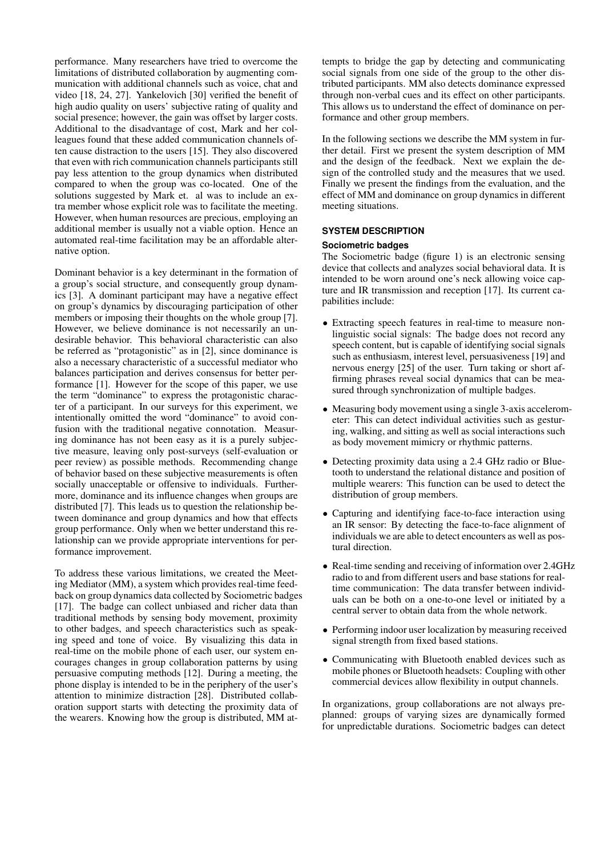performance. Many researchers have tried to overcome the limitations of distributed collaboration by augmenting communication with additional channels such as voice, chat and video [18, 24, 27]. Yankelovich [30] verified the benefit of high audio quality on users' subjective rating of quality and social presence; however, the gain was offset by larger costs. Additional to the disadvantage of cost, Mark and her colleagues found that these added communication channels often cause distraction to the users [15]. They also discovered that even with rich communication channels participants still pay less attention to the group dynamics when distributed compared to when the group was co-located. One of the solutions suggested by Mark et. al was to include an extra member whose explicit role was to facilitate the meeting. However, when human resources are precious, employing an additional member is usually not a viable option. Hence an automated real-time facilitation may be an affordable alternative option.

Dominant behavior is a key determinant in the formation of a group's social structure, and consequently group dynamics [3]. A dominant participant may have a negative effect on group's dynamics by discouraging participation of other members or imposing their thoughts on the whole group [7]. However, we believe dominance is not necessarily an undesirable behavior. This behavioral characteristic can also be referred as "protagonistic" as in [2], since dominance is also a necessary characteristic of a successful mediator who balances participation and derives consensus for better performance [1]. However for the scope of this paper, we use the term "dominance" to express the protagonistic character of a participant. In our surveys for this experiment, we intentionally omitted the word "dominance" to avoid confusion with the traditional negative connotation. Measuring dominance has not been easy as it is a purely subjective measure, leaving only post-surveys (self-evaluation or peer review) as possible methods. Recommending change of behavior based on these subjective measurements is often socially unacceptable or offensive to individuals. Furthermore, dominance and its influence changes when groups are distributed [7]. This leads us to question the relationship between dominance and group dynamics and how that effects group performance. Only when we better understand this relationship can we provide appropriate interventions for performance improvement.

To address these various limitations, we created the Meeting Mediator (MM), a system which provides real-time feedback on group dynamics data collected by Sociometric badges [17]. The badge can collect unbiased and richer data than traditional methods by sensing body movement, proximity to other badges, and speech characteristics such as speaking speed and tone of voice. By visualizing this data in real-time on the mobile phone of each user, our system encourages changes in group collaboration patterns by using persuasive computing methods [12]. During a meeting, the phone display is intended to be in the periphery of the user's attention to minimize distraction [28]. Distributed collaboration support starts with detecting the proximity data of the wearers. Knowing how the group is distributed, MM attempts to bridge the gap by detecting and communicating social signals from one side of the group to the other distributed participants. MM also detects dominance expressed through non-verbal cues and its effect on other participants. This allows us to understand the effect of dominance on performance and other group members.

In the following sections we describe the MM system in further detail. First we present the system description of MM and the design of the feedback. Next we explain the design of the controlled study and the measures that we used. Finally we present the findings from the evaluation, and the effect of MM and dominance on group dynamics in different meeting situations.

### **SYSTEM DESCRIPTION**

### **Sociometric badges**

The Sociometric badge (figure 1) is an electronic sensing device that collects and analyzes social behavioral data. It is intended to be worn around one's neck allowing voice capture and IR transmission and reception [17]. Its current capabilities include:

- Extracting speech features in real-time to measure nonlinguistic social signals: The badge does not record any speech content, but is capable of identifying social signals such as enthusiasm, interest level, persuasiveness [19] and nervous energy [25] of the user. Turn taking or short affirming phrases reveal social dynamics that can be measured through synchronization of multiple badges.
- Measuring body movement using a single 3-axis accelerometer: This can detect individual activities such as gesturing, walking, and sitting as well as social interactions such as body movement mimicry or rhythmic patterns.
- Detecting proximity data using a 2.4 GHz radio or Bluetooth to understand the relational distance and position of multiple wearers: This function can be used to detect the distribution of group members.
- Capturing and identifying face-to-face interaction using an IR sensor: By detecting the face-to-face alignment of individuals we are able to detect encounters as well as postural direction.
- Real-time sending and receiving of information over 2.4GHz radio to and from different users and base stations for realtime communication: The data transfer between individuals can be both on a one-to-one level or initiated by a central server to obtain data from the whole network.
- Performing indoor user localization by measuring received signal strength from fixed based stations.
- Communicating with Bluetooth enabled devices such as mobile phones or Bluetooth headsets: Coupling with other commercial devices allow flexibility in output channels.

In organizations, group collaborations are not always preplanned: groups of varying sizes are dynamically formed for unpredictable durations. Sociometric badges can detect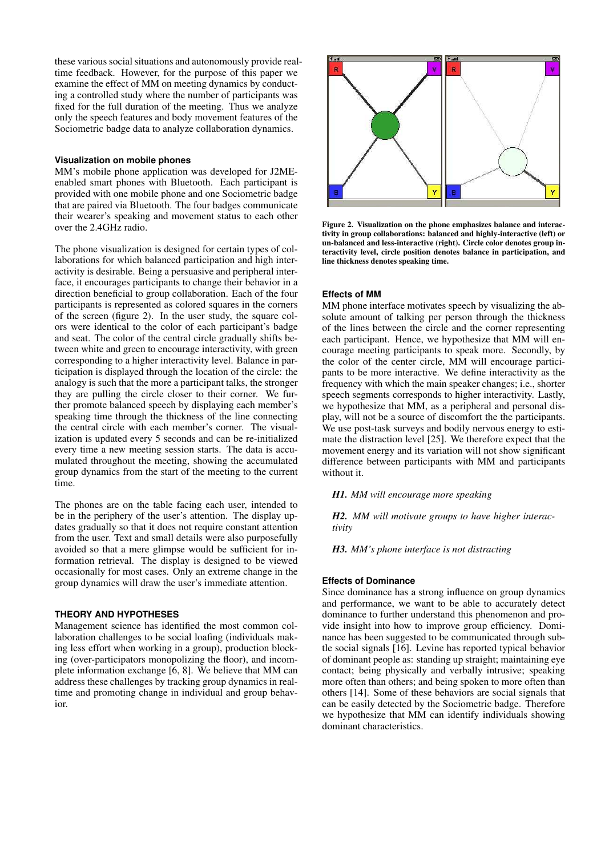these various social situations and autonomously provide realtime feedback. However, for the purpose of this paper we examine the effect of MM on meeting dynamics by conducting a controlled study where the number of participants was fixed for the full duration of the meeting. Thus we analyze only the speech features and body movement features of the Sociometric badge data to analyze collaboration dynamics.

## **Visualization on mobile phones**

MM's mobile phone application was developed for J2MEenabled smart phones with Bluetooth. Each participant is provided with one mobile phone and one Sociometric badge that are paired via Bluetooth. The four badges communicate their wearer's speaking and movement status to each other over the 2.4GHz radio.

The phone visualization is designed for certain types of collaborations for which balanced participation and high interactivity is desirable. Being a persuasive and peripheral interface, it encourages participants to change their behavior in a direction beneficial to group collaboration. Each of the four participants is represented as colored squares in the corners of the screen (figure 2). In the user study, the square colors were identical to the color of each participant's badge and seat. The color of the central circle gradually shifts between white and green to encourage interactivity, with green corresponding to a higher interactivity level. Balance in participation is displayed through the location of the circle: the analogy is such that the more a participant talks, the stronger they are pulling the circle closer to their corner. We further promote balanced speech by displaying each member's speaking time through the thickness of the line connecting the central circle with each member's corner. The visualization is updated every 5 seconds and can be re-initialized every time a new meeting session starts. The data is accumulated throughout the meeting, showing the accumulated group dynamics from the start of the meeting to the current time.

The phones are on the table facing each user, intended to be in the periphery of the user's attention. The display updates gradually so that it does not require constant attention from the user. Text and small details were also purposefully avoided so that a mere glimpse would be sufficient for information retrieval. The display is designed to be viewed occasionally for most cases. Only an extreme change in the group dynamics will draw the user's immediate attention.

# **THEORY AND HYPOTHESES**

Management science has identified the most common collaboration challenges to be social loafing (individuals making less effort when working in a group), production blocking (over-participators monopolizing the floor), and incomplete information exchange [6, 8]. We believe that MM can address these challenges by tracking group dynamics in realtime and promoting change in individual and group behavior.



Figure 2. Visualization on the phone emphasizes balance and interactivity in group collaborations: balanced and highly-interactive (left) or un-balanced and less-interactive (right). Circle color denotes group interactivity level, circle position denotes balance in participation, and line thickness denotes speaking time.

## **Effects of MM**

MM phone interface motivates speech by visualizing the absolute amount of talking per person through the thickness of the lines between the circle and the corner representing each participant. Hence, we hypothesize that MM will encourage meeting participants to speak more. Secondly, by the color of the center circle, MM will encourage participants to be more interactive. We define interactivity as the frequency with which the main speaker changes; i.e., shorter speech segments corresponds to higher interactivity. Lastly, we hypothesize that MM, as a peripheral and personal display, will not be a source of discomfort the the participants. We use post-task surveys and bodily nervous energy to estimate the distraction level [25]. We therefore expect that the movement energy and its variation will not show significant difference between participants with MM and participants without it.

## *H1. MM will encourage more speaking*

*H2. MM will motivate groups to have higher interactivity*

*H3. MM's phone interface is not distracting*

# **Effects of Dominance**

Since dominance has a strong influence on group dynamics and performance, we want to be able to accurately detect dominance to further understand this phenomenon and provide insight into how to improve group efficiency. Dominance has been suggested to be communicated through subtle social signals [16]. Levine has reported typical behavior of dominant people as: standing up straight; maintaining eye contact; being physically and verbally intrusive; speaking more often than others; and being spoken to more often than others [14]. Some of these behaviors are social signals that can be easily detected by the Sociometric badge. Therefore we hypothesize that MM can identify individuals showing dominant characteristics.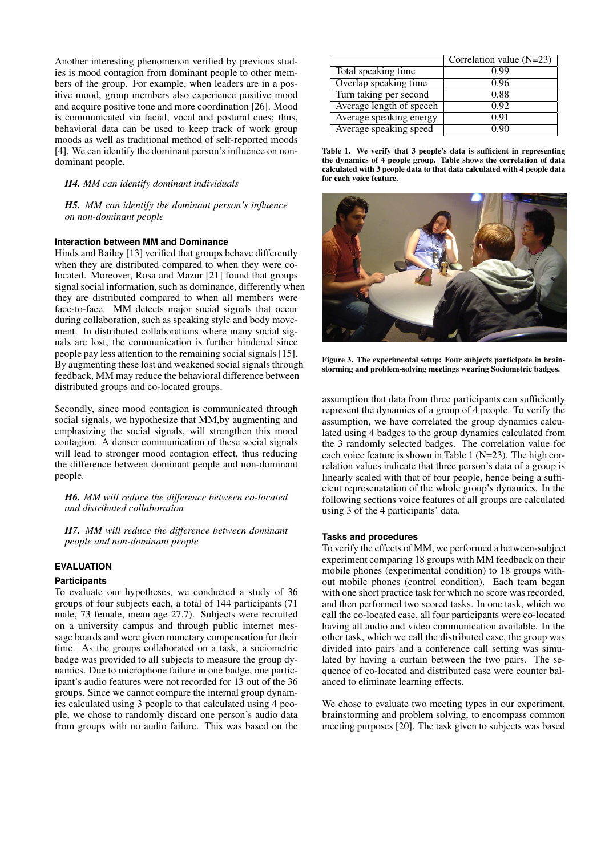Another interesting phenomenon verified by previous studies is mood contagion from dominant people to other members of the group. For example, when leaders are in a positive mood, group members also experience positive mood and acquire positive tone and more coordination [26]. Mood is communicated via facial, vocal and postural cues; thus, behavioral data can be used to keep track of work group moods as well as traditional method of self-reported moods [4]. We can identify the dominant person's influence on nondominant people.

## *H4. MM can identify dominant individuals*

## *H5. MM can identify the dominant person's influence on non-dominant people*

#### **Interaction between MM and Dominance**

Hinds and Bailey [13] verified that groups behave differently when they are distributed compared to when they were colocated. Moreover, Rosa and Mazur [21] found that groups signal social information, such as dominance, differently when they are distributed compared to when all members were face-to-face. MM detects major social signals that occur during collaboration, such as speaking style and body movement. In distributed collaborations where many social signals are lost, the communication is further hindered since people pay less attention to the remaining social signals [15]. By augmenting these lost and weakened social signals through feedback, MM may reduce the behavioral difference between distributed groups and co-located groups.

Secondly, since mood contagion is communicated through social signals, we hypothesize that MM,by augmenting and emphasizing the social signals, will strengthen this mood contagion. A denser communication of these social signals will lead to stronger mood contagion effect, thus reducing the difference between dominant people and non-dominant people.

*H6. MM will reduce the difference between co-located and distributed collaboration*

*H7. MM will reduce the difference between dominant people and non-dominant people*

## **EVALUATION**

#### **Participants**

To evaluate our hypotheses, we conducted a study of 36 groups of four subjects each, a total of 144 participants (71 male, 73 female, mean age 27.7). Subjects were recruited on a university campus and through public internet message boards and were given monetary compensation for their time. As the groups collaborated on a task, a sociometric badge was provided to all subjects to measure the group dynamics. Due to microphone failure in one badge, one participant's audio features were not recorded for 13 out of the 36 groups. Since we cannot compare the internal group dynamics calculated using 3 people to that calculated using 4 people, we chose to randomly discard one person's audio data from groups with no audio failure. This was based on the

|                          | Correlation value $(N=23)$ |
|--------------------------|----------------------------|
| Total speaking time      | 0.99                       |
| Overlap speaking time    | 0.96                       |
| Turn taking per second   | 0.88                       |
| Average length of speech | 0.92                       |
| Average speaking energy  | 0.91                       |
| Average speaking speed   | N 90                       |

Table 1. We verify that 3 people's data is sufficient in representing the dynamics of 4 people group. Table shows the correlation of data calculated with 3 people data to that data calculated with 4 people data for each voice feature.



Figure 3. The experimental setup: Four subjects participate in brainstorming and problem-solving meetings wearing Sociometric badges.

assumption that data from three participants can sufficiently represent the dynamics of a group of 4 people. To verify the assumption, we have correlated the group dynamics calculated using 4 badges to the group dynamics calculated from the 3 randomly selected badges. The correlation value for each voice feature is shown in Table 1 (N=23). The high correlation values indicate that three person's data of a group is linearly scaled with that of four people, hence being a sufficient represenatation of the whole group's dynamics. In the following sections voice features of all groups are calculated using 3 of the 4 participants' data.

#### **Tasks and procedures**

To verify the effects of MM, we performed a between-subject experiment comparing 18 groups with MM feedback on their mobile phones (experimental condition) to 18 groups without mobile phones (control condition). Each team began with one short practice task for which no score was recorded, and then performed two scored tasks. In one task, which we call the co-located case, all four participants were co-located having all audio and video communication available. In the other task, which we call the distributed case, the group was divided into pairs and a conference call setting was simulated by having a curtain between the two pairs. The sequence of co-located and distributed case were counter balanced to eliminate learning effects.

We chose to evaluate two meeting types in our experiment, brainstorming and problem solving, to encompass common meeting purposes [20]. The task given to subjects was based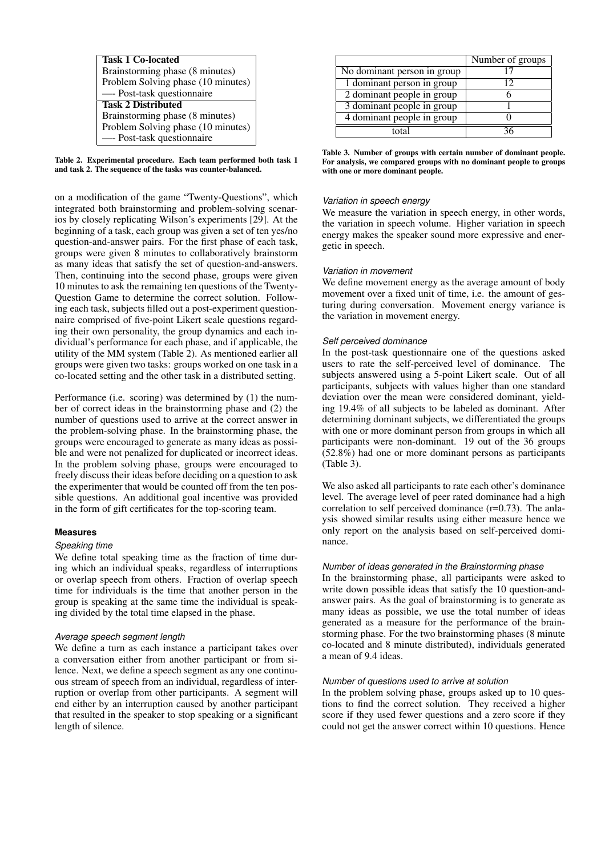| <b>Task 1 Co-located</b>           |  |
|------------------------------------|--|
| Brainstorming phase (8 minutes)    |  |
| Problem Solving phase (10 minutes) |  |
| - Post-task questionnaire          |  |
| <b>Task 2 Distributed</b>          |  |
| Brainstorming phase (8 minutes)    |  |
| Problem Solving phase (10 minutes) |  |
| - Post-task questionnaire          |  |

Table 2. Experimental procedure. Each team performed both task 1 and task 2. The sequence of the tasks was counter-balanced.

on a modification of the game "Twenty-Questions", which integrated both brainstorming and problem-solving scenarios by closely replicating Wilson's experiments [29]. At the beginning of a task, each group was given a set of ten yes/no question-and-answer pairs. For the first phase of each task, groups were given 8 minutes to collaboratively brainstorm as many ideas that satisfy the set of question-and-answers. Then, continuing into the second phase, groups were given 10 minutes to ask the remaining ten questions of the Twenty-Question Game to determine the correct solution. Following each task, subjects filled out a post-experiment questionnaire comprised of five-point Likert scale questions regarding their own personality, the group dynamics and each individual's performance for each phase, and if applicable, the utility of the MM system (Table 2). As mentioned earlier all groups were given two tasks: groups worked on one task in a co-located setting and the other task in a distributed setting.

Performance (i.e. scoring) was determined by (1) the number of correct ideas in the brainstorming phase and (2) the number of questions used to arrive at the correct answer in the problem-solving phase. In the brainstorming phase, the groups were encouraged to generate as many ideas as possible and were not penalized for duplicated or incorrect ideas. In the problem solving phase, groups were encouraged to freely discuss their ideas before deciding on a question to ask the experimenter that would be counted off from the ten possible questions. An additional goal incentive was provided in the form of gift certificates for the top-scoring team.

## **Measures**

## *Speaking time*

We define total speaking time as the fraction of time during which an individual speaks, regardless of interruptions or overlap speech from others. Fraction of overlap speech time for individuals is the time that another person in the group is speaking at the same time the individual is speaking divided by the total time elapsed in the phase.

## *Average speech segment length*

We define a turn as each instance a participant takes over a conversation either from another participant or from silence. Next, we define a speech segment as any one continuous stream of speech from an individual, regardless of interruption or overlap from other participants. A segment will end either by an interruption caused by another participant that resulted in the speaker to stop speaking or a significant length of silence.

|                             | Number of groups |
|-----------------------------|------------------|
| No dominant person in group |                  |
| 1 dominant person in group  | 12               |
| 2 dominant people in group  |                  |
| 3 dominant people in group  |                  |
| 4 dominant people in group  |                  |
| total                       |                  |

Table 3. Number of groups with certain number of dominant people. For analysis, we compared groups with no dominant people to groups with one or more dominant people.

## *Variation in speech energy*

We measure the variation in speech energy, in other words, the variation in speech volume. Higher variation in speech energy makes the speaker sound more expressive and energetic in speech.

## *Variation in movement*

We define movement energy as the average amount of body movement over a fixed unit of time, i.e. the amount of gesturing during conversation. Movement energy variance is the variation in movement energy.

## *Self perceived dominance*

In the post-task questionnaire one of the questions asked users to rate the self-perceived level of dominance. The subjects answered using a 5-point Likert scale. Out of all participants, subjects with values higher than one standard deviation over the mean were considered dominant, yielding 19.4% of all subjects to be labeled as dominant. After determining dominant subjects, we differentiated the groups with one or more dominant person from groups in which all participants were non-dominant. 19 out of the 36 groups  $(52.8\%)$  had one or more dominant persons as participants (Table 3).

We also asked all participants to rate each other's dominance level. The average level of peer rated dominance had a high correlation to self perceived dominance (r=0.73). The anlaysis showed similar results using either measure hence we only report on the analysis based on self-perceived dominance.

## *Number of ideas generated in the Brainstorming phase*

In the brainstorming phase, all participants were asked to write down possible ideas that satisfy the 10 question-andanswer pairs. As the goal of brainstorming is to generate as many ideas as possible, we use the total number of ideas generated as a measure for the performance of the brainstorming phase. For the two brainstorming phases (8 minute co-located and 8 minute distributed), individuals generated a mean of 9.4 ideas.

#### *Number of questions used to arrive at solution*

In the problem solving phase, groups asked up to 10 questions to find the correct solution. They received a higher score if they used fewer questions and a zero score if they could not get the answer correct within 10 questions. Hence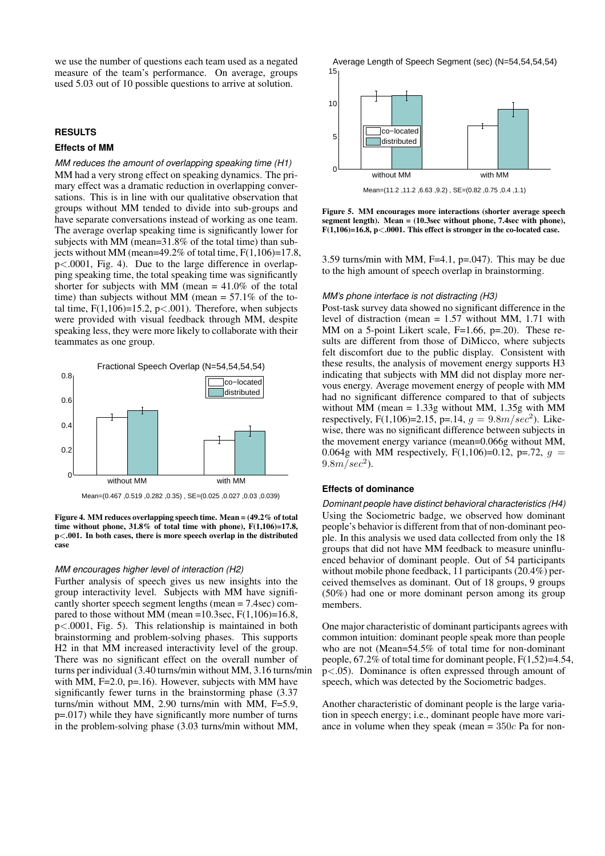we use the number of questions each team used as a negated measure of the team's performance. On average, groups used 5.03 out of 10 possible questions to arrive at solution.

## **RESULTS**

#### **Effects of MM**

*MM reduces the amount of overlapping speaking time (H1)* MM had a very strong effect on speaking dynamics. The primary effect was a dramatic reduction in overlapping conversations. This is in line with our qualitative observation that groups without MM tended to divide into sub-groups and have separate conversations instead of working as one team. The average overlap speaking time is significantly lower for subjects with MM (mean=31.8% of the total time) than subjects without MM (mean=49.2% of total time,  $F(1,106)=17.8$ , p<.0001, Fig. 4). Due to the large difference in overlapping speaking time, the total speaking time was significantly shorter for subjects with MM (mean  $= 41.0\%$  of the total time) than subjects without MM (mean  $= 57.1\%$  of the total time,  $F(1,106)=15.2$ ,  $p<0.001$ ). Therefore, when subjects were provided with visual feedback through MM, despite speaking less, they were more likely to collaborate with their teammates as one group.



Mean=(0.467 ,0.519 ,0.282 ,0.35) , SE=(0.025 ,0.027 ,0.03 ,0.039)

Figure 4. MM reduces overlapping speech time. Mean = (49.2% of total time without phone, 31.8% of total time with phone), F(1,106)=17.8, p<.001. In both cases, there is more speech overlap in the distributed case

#### *MM encourages higher level of interaction (H2)*

Further analysis of speech gives us new insights into the group interactivity level. Subjects with MM have significantly shorter speech segment lengths (mean = 7.4sec) compared to those without MM (mean =10.3sec,  $F(1,106)$ =16.8, p<.0001, Fig. 5). This relationship is maintained in both brainstorming and problem-solving phases. This supports H2 in that MM increased interactivity level of the group. There was no significant effect on the overall number of turns per individual (3.40 turns/min without MM, 3.16 turns/min with MM,  $F=2.0$ ,  $p=.16$ ). However, subjects with MM have significantly fewer turns in the brainstorming phase (3.37 turns/min without MM, 2.90 turns/min with MM, F=5.9, p=.017) while they have significantly more number of turns in the problem-solving phase (3.03 turns/min without MM,

15 Average Length of Speech Segment (sec) (N=54,54,54,54)



Mean=(11.2 ,11.2 ,6.63 ,9.2) , SE=(0.82 ,0.75 ,0.4 ,1.1)

Figure 5. MM encourages more interactions (shorter average speech segment length). Mean  $= (10.3 \text{sec}$  without phone, 7.4sec with phone). F $(1,106)=16.8$ , p $< .0001$ . This effect is stronger in the co-located case.

3.59 turns/min with MM,  $F=4.1$ ,  $p=.047$ ). This may be due to the high amount of speech overlap in brainstorming.

#### *MM's phone interface is not distracting (H3)*

Post-task survey data showed no significant difference in the level of distraction (mean = 1.57 without MM, 1.71 with MM on a 5-point Likert scale, F=1.66, p=.20). These results are different from those of DiMicco, where subjects felt discomfort due to the public display. Consistent with these results, the analysis of movement energy supports H3 indicating that subjects with MM did not display more nervous energy. Average movement energy of people with MM had no significant difference compared to that of subjects without MM (mean  $= 1.33g$  without MM, 1.35g with MM respectively,  $F(1,106)=2.15$ , p=.14,  $g = 9.8 \text{m/sec}^2$ . Likewise, there was no significant difference between subjects in the movement energy variance (mean=0.066g without MM, 0.064g with MM respectively, F(1,106)=0.12, p=.72,  $q =$  $9.8m/sec<sup>2</sup>$ ).

### **Effects of dominance**

*Dominant people have distinct behavioral characteristics (H4)* Using the Sociometric badge, we observed how dominant people's behavior is different from that of non-dominant people. In this analysis we used data collected from only the 18 groups that did not have MM feedback to measure uninfluenced behavior of dominant people. Out of 54 participants without mobile phone feedback, 11 participants (20.4%) perceived themselves as dominant. Out of 18 groups, 9 groups (50%) had one or more dominant person among its group members.

One major characteristic of dominant participants agrees with common intuition: dominant people speak more than people who are not (Mean=54.5% of total time for non-dominant people, 67.2% of total time for dominant people, F(1,52)=4.54, p<.05). Dominance is often expressed through amount of speech, which was detected by the Sociometric badges.

Another characteristic of dominant people is the large variation in speech energy; i.e., dominant people have more variance in volume when they speak (mean  $= 350c$  Pa for non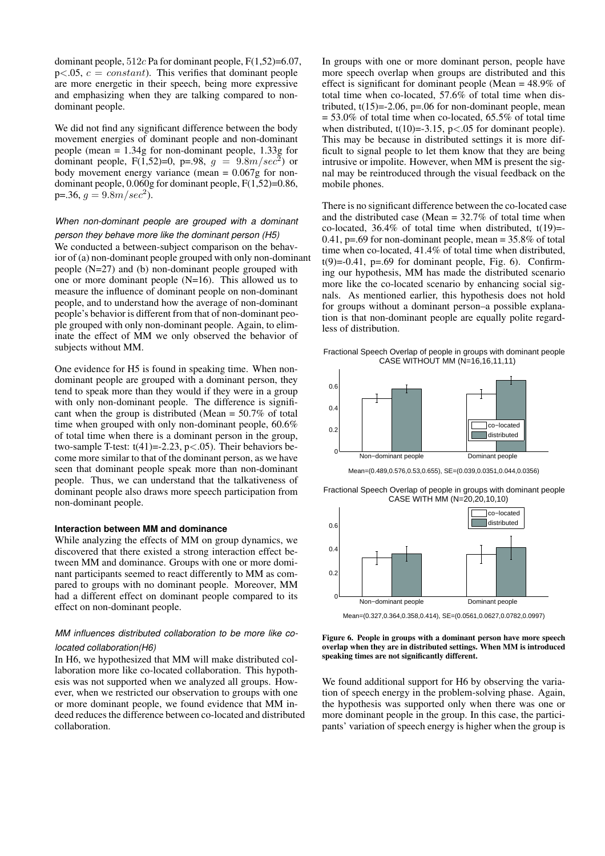dominant people,  $512c$  Pa for dominant people,  $F(1,52)=6.07$ ,  $p\lt 0.05$ ,  $c = constant$ ). This verifies that dominant people are more energetic in their speech, being more expressive and emphasizing when they are talking compared to nondominant people.

We did not find any significant difference between the body movement energies of dominant people and non-dominant people (mean = 1.34g for non-dominant people, 1.33g for dominant people, F(1,52)=0, p=.98,  $g = 9.8m/sec^2$ ) or body movement energy variance (mean  $= 0.067$ g for nondominant people,  $0.060g$  for dominant people,  $F(1,52)=0.86$ ,  $p=.36, g = 9.8m/sec<sup>2</sup>$ .

# *When non-dominant people are grouped with a dominant*

*person they behave more like the dominant person (H5)* We conducted a between-subject comparison on the behavior of (a) non-dominant people grouped with only non-dominant people (N=27) and (b) non-dominant people grouped with one or more dominant people (N=16). This allowed us to measure the influence of dominant people on non-dominant people, and to understand how the average of non-dominant people's behavior is different from that of non-dominant people grouped with only non-dominant people. Again, to eliminate the effect of MM we only observed the behavior of subjects without MM.

One evidence for H5 is found in speaking time. When nondominant people are grouped with a dominant person, they tend to speak more than they would if they were in a group with only non-dominant people. The difference is significant when the group is distributed (Mean  $= 50.7\%$  of total time when grouped with only non-dominant people, 60.6% of total time when there is a dominant person in the group, two-sample T-test:  $t(41)=2.23$ ,  $p<.05$ ). Their behaviors become more similar to that of the dominant person, as we have seen that dominant people speak more than non-dominant people. Thus, we can understand that the talkativeness of dominant people also draws more speech participation from non-dominant people.

### **Interaction between MM and dominance**

While analyzing the effects of MM on group dynamics, we discovered that there existed a strong interaction effect between MM and dominance. Groups with one or more dominant participants seemed to react differently to MM as compared to groups with no dominant people. Moreover, MM had a different effect on dominant people compared to its effect on non-dominant people.

# *MM influences distributed collaboration to be more like colocated collaboration(H6)*

In H6, we hypothesized that MM will make distributed collaboration more like co-located collaboration. This hypothesis was not supported when we analyzed all groups. However, when we restricted our observation to groups with one or more dominant people, we found evidence that MM indeed reduces the difference between co-located and distributed collaboration.

In groups with one or more dominant person, people have more speech overlap when groups are distributed and this effect is significant for dominant people (Mean = 48.9% of total time when co-located, 57.6% of total time when distributed,  $t(15)=2.06$ ,  $p=.06$  for non-dominant people, mean  $= 53.0\%$  of total time when co-located, 65.5% of total time when distributed,  $t(10)=3.15$ ,  $p<.05$  for dominant people). This may be because in distributed settings it is more difficult to signal people to let them know that they are being intrusive or impolite. However, when MM is present the signal may be reintroduced through the visual feedback on the mobile phones.

There is no significant difference between the co-located case and the distributed case (Mean  $= 32.7\%$  of total time when co-located,  $36.4\%$  of total time when distributed,  $t(19)$ =-0.41,  $p=.69$  for non-dominant people, mean = 35.8% of total time when co-located, 41.4% of total time when distributed,  $t(9)=0.41$ ,  $p=.69$  for dominant people, Fig. 6). Confirming our hypothesis, MM has made the distributed scenario more like the co-located scenario by enhancing social signals. As mentioned earlier, this hypothesis does not hold for groups without a dominant person–a possible explanation is that non-dominant people are equally polite regardless of distribution.

Fractional Speech Overlap of people in groups with dominant people CASE WITHOUT MM (N=16,16,11,11)



Mean=(0.489,0.576,0.53,0.655), SE=(0.039,0.0351,0.044,0.0356)

Fractional Speech Overlap of people in groups with dominant people CASE WITH MM (N=20,20,10,10)



Mean=(0.327,0.364,0.358,0.414), SE=(0.0561,0.0627,0.0782,0.0997)

Figure 6. People in groups with a dominant person have more speech overlap when they are in distributed settings. When MM is introduced speaking times are not significantly different.

We found additional support for H6 by observing the variation of speech energy in the problem-solving phase. Again, the hypothesis was supported only when there was one or more dominant people in the group. In this case, the participants' variation of speech energy is higher when the group is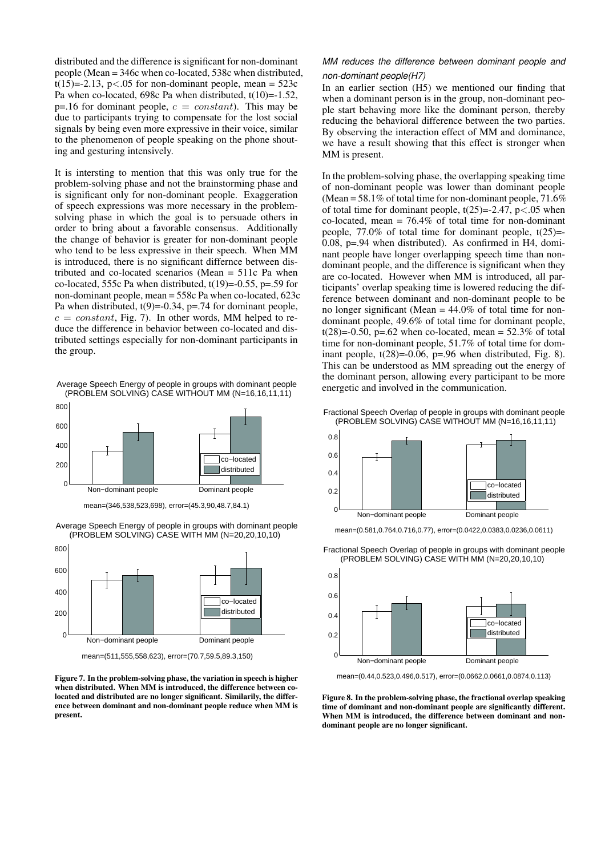distributed and the difference is significant for non-dominant people (Mean = 346c when co-located, 538c when distributed, t(15)=-2.13, p<.05 for non-dominant people, mean =  $523c$ Pa when co-located, 698c Pa when distributed,  $t(10)=1.52$ , p=.16 for dominant people,  $c = constant$ ). This may be due to participants trying to compensate for the lost social signals by being even more expressive in their voice, similar to the phenomenon of people speaking on the phone shouting and gesturing intensively.

It is intersting to mention that this was only true for the problem-solving phase and not the brainstorming phase and is significant only for non-dominant people. Exaggeration of speech expressions was more necessary in the problemsolving phase in which the goal is to persuade others in order to bring about a favorable consensus. Additionally the change of behavior is greater for non-dominant people who tend to be less expressive in their speech. When MM is introduced, there is no significant differnce between distributed and co-located scenarios (Mean = 511c Pa when co-located, 555c Pa when distributed,  $t(19)=0.55$ , p=.59 for non-dominant people, mean = 558c Pa when co-located, 623c Pa when distributed,  $t(9)=0.34$ ,  $p=.74$  for dominant people,  $c = constant$ , Fig. 7). In other words, MM helped to reduce the difference in behavior between co-located and distributed settings especially for non-dominant participants in the group.

Average Speech Energy of people in groups with dominant people (PROBLEM SOLVING) CASE WITHOUT MM (N=16,16,11,11)



Average Speech Energy of people in groups with dominant people (PROBLEM SOLVING) CASE WITH MM (N=20,20,10,10)



mean=(511,555,558,623), error=(70.7,59.5,89.3,150)

Figure 7. In the problem-solving phase, the variation in speech is higher when distributed. When MM is introduced, the difference between colocated and distributed are no longer significant. Similarily, the difference between dominant and non-dominant people reduce when MM is present.

# *MM reduces the difference between dominant people and non-dominant people(H7)*

In an earlier section (H5) we mentioned our finding that when a dominant person is in the group, non-dominant people start behaving more like the dominant person, thereby reducing the behavioral difference between the two parties. By observing the interaction effect of MM and dominance, we have a result showing that this effect is stronger when MM is present.

In the problem-solving phase, the overlapping speaking time of non-dominant people was lower than dominant people (Mean =  $58.1\%$  of total time for non-dominant people,  $71.6\%$ of total time for dominant people,  $t(25)=-2.47$ ,  $p<0.05$  when co-located, mean =  $76.4\%$  of total time for non-dominant people, 77.0% of total time for dominant people, t(25)=- 0.08, p=.94 when distributed). As confirmed in H4, dominant people have longer overlapping speech time than nondominant people, and the difference is significant when they are co-located. However when MM is introduced, all participants' overlap speaking time is lowered reducing the difference between dominant and non-dominant people to be no longer significant (Mean  $= 44.0\%$  of total time for nondominant people, 49.6% of total time for dominant people, t(28)=-0.50, p=.62 when co-located, mean =  $52.3\%$  of total time for non-dominant people, 51.7% of total time for dominant people,  $t(28)=0.06$ , p=.96 when distributed, Fig. 8). This can be understood as MM spreading out the energy of the dominant person, allowing every participant to be more energetic and involved in the communication.



Fractional Speech Overlap of people in groups with dominant people (PROBLEM SOLVING) CASE WITHOUT MM (N=16,16,11,11)

Fractional Speech Overlap of people in groups with dominant people (PROBLEM SOLVING) CASE WITH MM (N=20,20,10,10)

mean=(0.581,0.764,0.716,0.77), error=(0.0422,0.0383,0.0236,0.0611)



mean=(0.44,0.523,0.496,0.517), error=(0.0662,0.0661,0.0874,0.113)

Figure 8. In the problem-solving phase, the fractional overlap speaking time of dominant and non-dominant people are significantly different. When MM is introduced, the difference between dominant and nondominant people are no longer significant.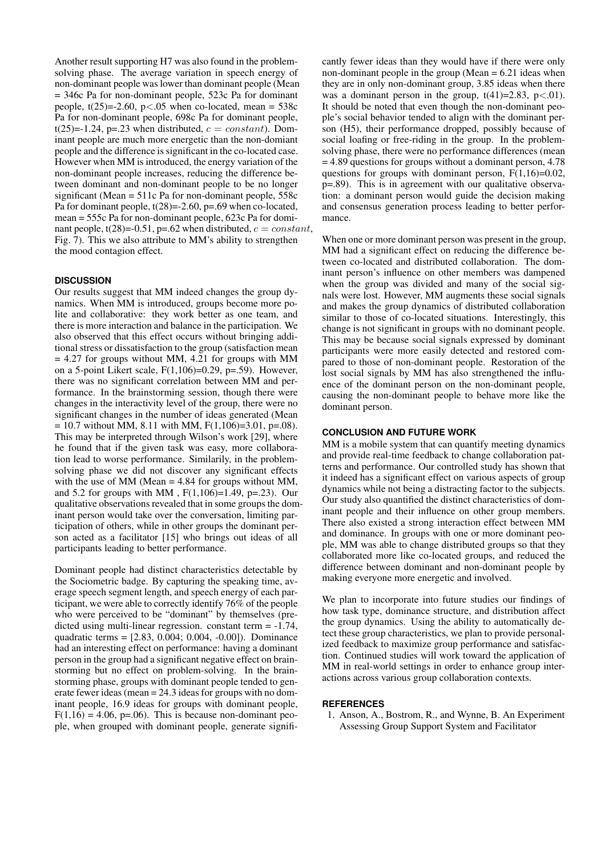Another result supporting H7 was also found in the problemsolving phase. The average variation in speech energy of non-dominant people was lower than dominant people (Mean = 346c Pa for non-dominant people, 523c Pa for dominant people,  $t(25)=2.60$ ,  $p<0.05$  when co-located, mean = 538c Pa for non-dominant people, 698c Pa for dominant people, t(25)=-1.24, p=.23 when distributed,  $c = constant$ ). Dominant people are much more energetic than the non-domiant people and the difference is significant in the co-located case. However when MM is introduced, the energy variation of the non-dominant people increases, reducing the difference between dominant and non-dominant people to be no longer significant (Mean = 511c Pa for non-dominant people, 558c Pa for dominant people,  $t(28)=2.60$ ,  $p=.69$  when co-located, mean = 555c Pa for non-dominant people, 623c Pa for dominant people,  $t(28)=0.51$ , p=.62 when distributed,  $c = constant$ , Fig. 7). This we also attribute to MM's ability to strengthen the mood contagion effect.

### **DISCUSSION**

Our results suggest that MM indeed changes the group dynamics. When MM is introduced, groups become more polite and collaborative: they work better as one team, and there is more interaction and balance in the participation. We also observed that this effect occurs without bringing additional stress or dissatisfaction to the group (satisfaction mean  $= 4.27$  for groups without MM, 4.21 for groups with MM on a 5-point Likert scale,  $F(1,106)=0.29$ ,  $p=.59$ ). However, there was no significant correlation between MM and performance. In the brainstorming session, though there were changes in the interactivity level of the group, there were no significant changes in the number of ideas generated (Mean  $= 10.7$  without MM, 8.11 with MM, F(1,106)=3.01, p=.08). This may be interpreted through Wilson's work [29], where he found that if the given task was easy, more collaboration lead to worse performance. Similarily, in the problemsolving phase we did not discover any significant effects with the use of MM (Mean = 4.84 for groups without MM, and 5.2 for groups with MM,  $F(1,106)=1.49$ , p=.23). Our qualitative observations revealed that in some groups the dominant person would take over the conversation, limiting participation of others, while in other groups the dominant person acted as a facilitator [15] who brings out ideas of all participants leading to better performance.

Dominant people had distinct characteristics detectable by the Sociometric badge. By capturing the speaking time, average speech segment length, and speech energy of each participant, we were able to correctly identify 76% of the people who were perceived to be "dominant" by themselves (predicted using multi-linear regression. constant term = -1.74, quadratic terms = [2.83, 0.004; 0.004, -0.00]). Dominance had an interesting effect on performance: having a dominant person in the group had a significant negative effect on brainstorming but no effect on problem-solving. In the brainstorming phase, groups with dominant people tended to generate fewer ideas (mean = 24.3 ideas for groups with no dominant people, 16.9 ideas for groups with dominant people,  $F(1,16) = 4.06$ , p=.06). This is because non-dominant people, when grouped with dominant people, generate signifi-

cantly fewer ideas than they would have if there were only non-dominant people in the group (Mean  $= 6.21$  ideas when they are in only non-dominant group, 3.85 ideas when there was a dominant person in the group,  $t(41)=2.83$ ,  $p<.01$ ). It should be noted that even though the non-dominant people's social behavior tended to align with the dominant person (H5), their performance dropped, possibly because of social loafing or free-riding in the group. In the problemsolving phase, there were no performance differences (mean = 4.89 questions for groups without a dominant person, 4.78 questions for groups with dominant person,  $F(1,16)=0.02$ , p=.89). This is in agreement with our qualitative observation: a dominant person would guide the decision making and consensus generation process leading to better performance.

When one or more dominant person was present in the group, MM had a significant effect on reducing the difference between co-located and distributed collaboration. The dominant person's influence on other members was dampened when the group was divided and many of the social signals were lost. However, MM augments these social signals and makes the group dynamics of distributed collaboration similar to those of co-located situations. Interestingly, this change is not significant in groups with no dominant people. This may be because social signals expressed by dominant participants were more easily detected and restored compared to those of non-dominant people. Restoration of the lost social signals by MM has also strengthened the influence of the dominant person on the non-dominant people, causing the non-dominant people to behave more like the dominant person.

#### **CONCLUSION AND FUTURE WORK**

MM is a mobile system that can quantify meeting dynamics and provide real-time feedback to change collaboration patterns and performance. Our controlled study has shown that it indeed has a significant effect on various aspects of group dynamics while not being a distracting factor to the subjects. Our study also quantified the distinct characteristics of dominant people and their influence on other group members. There also existed a strong interaction effect between MM and dominance. In groups with one or more dominant people, MM was able to change distributed groups so that they collaborated more like co-located groups, and reduced the difference between dominant and non-dominant people by making everyone more energetic and involved.

We plan to incorporate into future studies our findings of how task type, dominance structure, and distribution affect the group dynamics. Using the ability to automatically detect these group characteristics, we plan to provide personalized feedback to maximize group performance and satisfaction. Continued studies will work toward the application of MM in real-world settings in order to enhance group interactions across various group collaboration contexts.

#### **REFERENCES**

1. Anson, A., Bostrom, R., and Wynne, B. An Experiment Assessing Group Support System and Facilitator